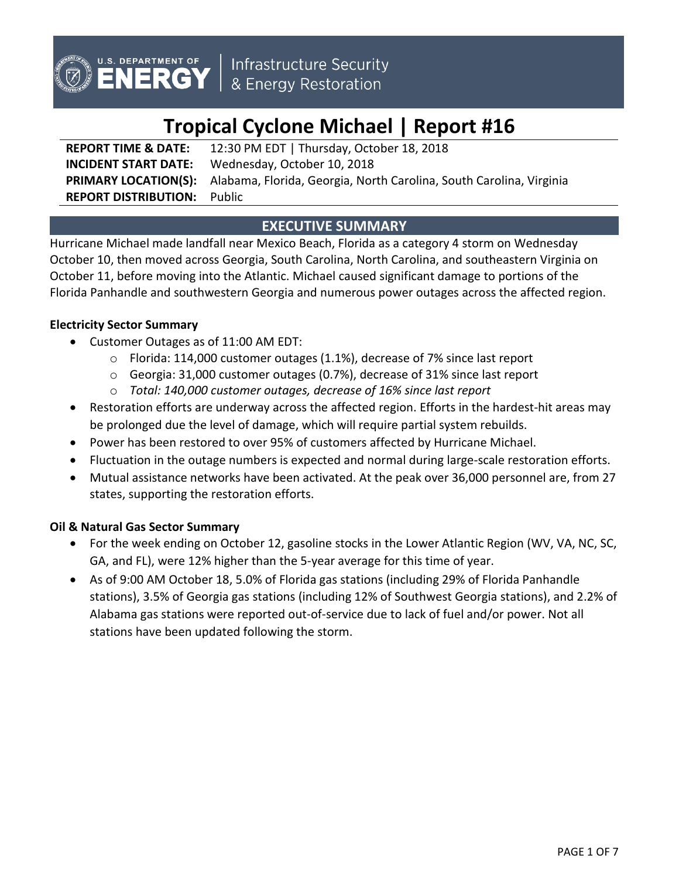

# **Tropical Cyclone Michael | Report #16**

**REPORT TIME & DATE:** 12:30 PM EDT | Thursday, October 18, 2018 **INCIDENT START DATE:** Wednesday, October 10, 2018 **PRIMARY LOCATION(S):** Alabama, Florida, Georgia, North Carolina, South Carolina, Virginia **REPORT DISTRIBUTION:** Public

# **EXECUTIVE SUMMARY**

Hurricane Michael made landfall near Mexico Beach, Florida as a category 4 storm on Wednesday October 10, then moved across Georgia, South Carolina, North Carolina, and southeastern Virginia on October 11, before moving into the Atlantic. Michael caused significant damage to portions of the Florida Panhandle and southwestern Georgia and numerous power outages across the affected region.

## **Electricity Sector Summary**

- Customer Outages as of 11:00 AM EDT:
	- o Florida: 114,000 customer outages (1.1%), decrease of 7% since last report
	- o Georgia: 31,000 customer outages (0.7%), decrease of 31% since last report
	- o *Total: 140,000 customer outages, decrease of 16% since last report*
- Restoration efforts are underway across the affected region. Efforts in the hardest-hit areas may be prolonged due the level of damage, which will require partial system rebuilds.
- Power has been restored to over 95% of customers affected by Hurricane Michael.
- Fluctuation in the outage numbers is expected and normal during large-scale restoration efforts.
- Mutual assistance networks have been activated. At the peak over 36,000 personnel are, from 27 states, supporting the restoration efforts.

## **Oil & Natural Gas Sector Summary**

- For the week ending on October 12, gasoline stocks in the Lower Atlantic Region (WV, VA, NC, SC, GA, and FL), were 12% higher than the 5-year average for this time of year.
- As of 9:00 AM October 18, 5.0% of Florida gas stations (including 29% of Florida Panhandle stations), 3.5% of Georgia gas stations (including 12% of Southwest Georgia stations), and 2.2% of Alabama gas stations were reported out-of-service due to lack of fuel and/or power. Not all stations have been updated following the storm.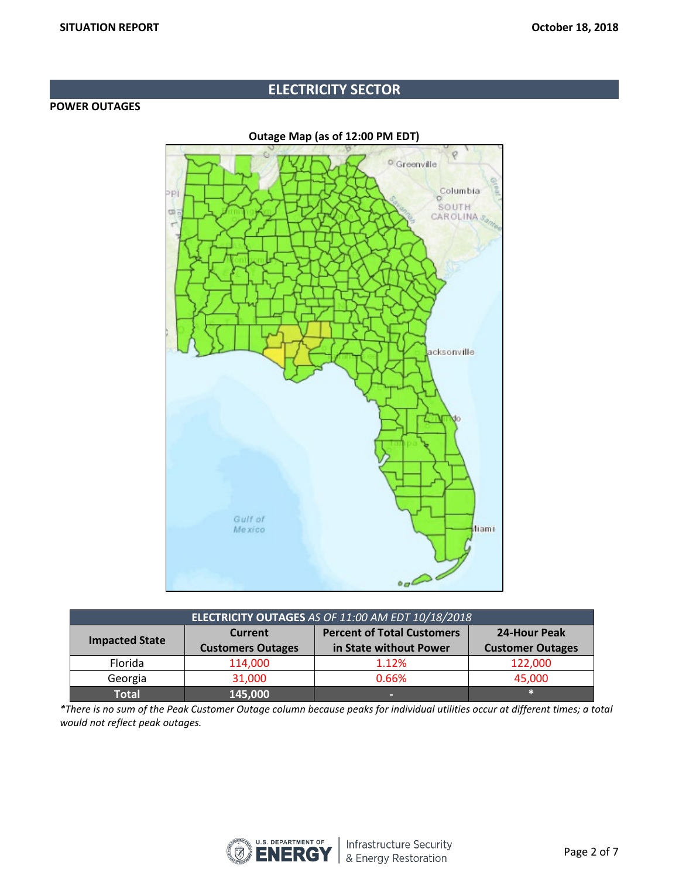# **ELECTRICITY SECTOR**

## **POWER OUTAGES**

**Outage Map (as of 12:00 PM EDT)**  $\varphi$ <sup>o</sup> Greenville Columbia PÏ SOUTH co CAR OLINA 3 acksonville Gulf of Mexico **Aiami**  $\sim$ 

| ELECTRICITY OUTAGES AS OF 11:00 AM EDT 10/18/2018 |                          |                                   |                         |  |
|---------------------------------------------------|--------------------------|-----------------------------------|-------------------------|--|
| <b>Impacted State</b>                             | Current                  | <b>Percent of Total Customers</b> | 24-Hour Peak            |  |
|                                                   | <b>Customers Outages</b> | in State without Power            | <b>Customer Outages</b> |  |
| Florida                                           | 114,000                  | 1.12%                             | 122,000                 |  |
| Georgia                                           | 31,000<br>0.66%          |                                   | 45,000                  |  |
| Total                                             | 145,000                  | -                                 |                         |  |

*\*There is no sum of the Peak Customer Outage column because peaks for individual utilities occur at different times; a total would not reflect peak outages.*

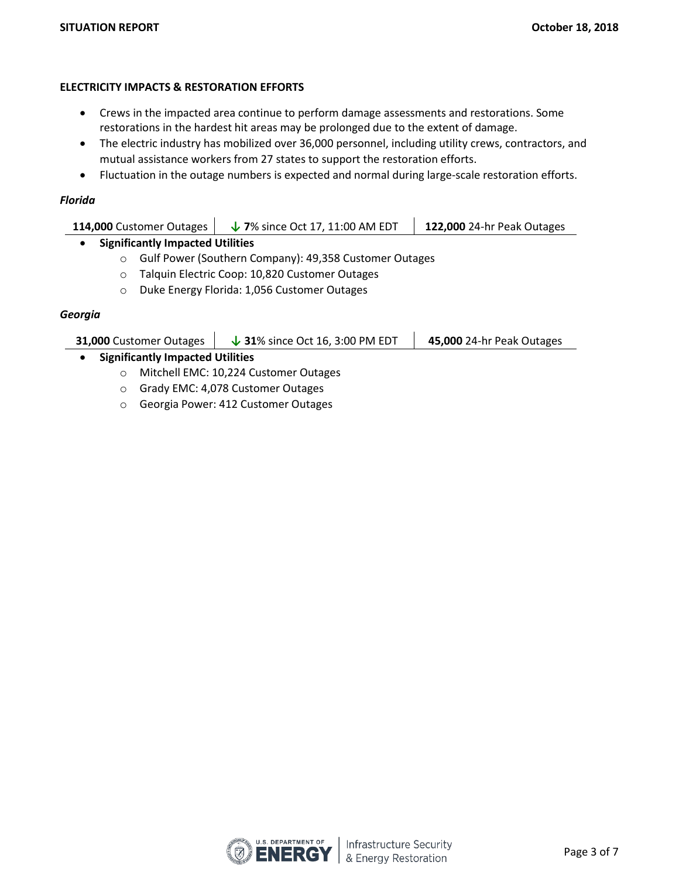## **ELECTRICITY IMPACTS & RESTORATION EFFORTS**

- Crews in the impacted area continue to perform damage assessments and restorations. Some restorations in the hardest hit areas may be prolonged due to the extent of damage.
- The electric industry has mobilized over 36,000 personnel, including utility crews, contractors, and mutual assistance workers from 27 states to support the restoration efforts.
- Fluctuation in the outage numbers is expected and normal during large-scale restoration efforts.

## *Florida*

| 114,000 Customer Outages | $\downarrow$ 7% since Oct 17, 11:00 AM EDT | <b>122,000</b> 24-hr Peak Outages |
|--------------------------|--------------------------------------------|-----------------------------------|
|                          |                                            |                                   |

## • **Significantly Impacted Utilities**

- o Gulf Power (Southern Company): 49,358 Customer Outages
- o Talquin Electric Coop: 10,820 Customer Outages
- o Duke Energy Florida: 1,056 Customer Outages

## *Georgia*

| <b>31,000 Customer Outages</b>          | $\downarrow$ 31% since Oct 16, 3:00 PM EDT | <b>45,000 24-hr Peak Outages</b> |  |  |
|-----------------------------------------|--------------------------------------------|----------------------------------|--|--|
| <b>Significantly Impacted Utilities</b> |                                            |                                  |  |  |
|                                         | Mitchell EMC: 10,224 Customer Outages      |                                  |  |  |

- o Grady EMC: 4,078 Customer Outages
- o Georgia Power: 412 Customer Outages

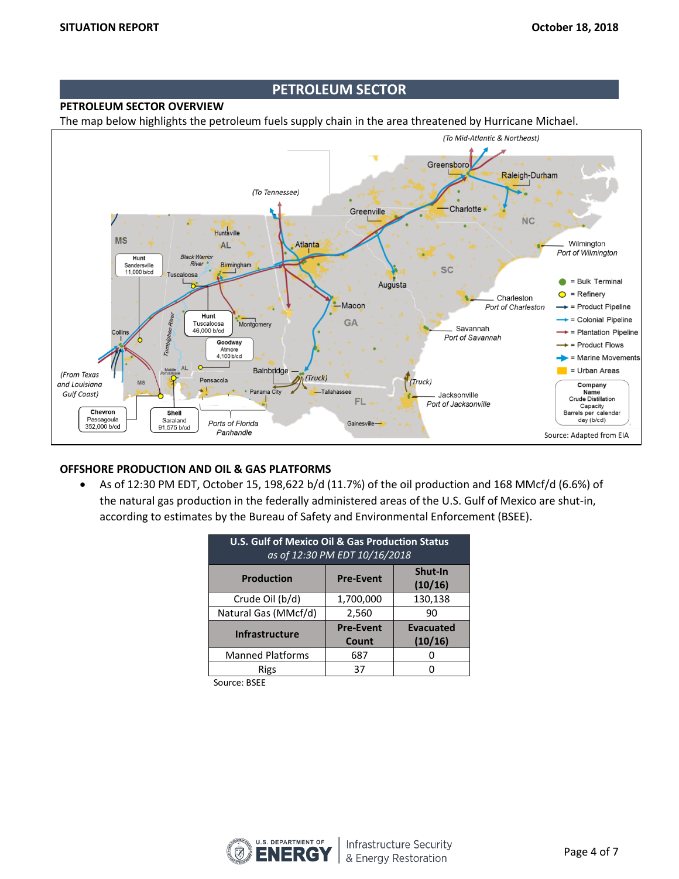## **PETROLEUM SECTOR**

## **PETROLEUM SECTOR OVERVIEW**

The map below highlights the petroleum fuels supply chain in the area threatened by Hurricane Michael.



## **OFFSHORE PRODUCTION AND OIL & GAS PLATFORMS**

• As of 12:30 PM EDT, October 15, 198,622 b/d (11.7%) of the oil production and 168 MMcf/d (6.6%) of the natural gas production in the federally administered areas of the U.S. Gulf of Mexico are shut-in, according to estimates by the Bureau of Safety and Environmental Enforcement (BSEE).

| <b>U.S. Gulf of Mexico Oil &amp; Gas Production Status</b><br>as of 12:30 PM EDT 10/16/2018 |                  |                    |  |
|---------------------------------------------------------------------------------------------|------------------|--------------------|--|
| <b>Production</b>                                                                           | <b>Pre-Event</b> | Shut-In<br>(10/16) |  |
| Crude Oil (b/d)                                                                             | 1,700,000        | 130,138            |  |
| Natural Gas (MMcf/d)                                                                        | 2,560            | 90                 |  |
| <b>Infrastructure</b>                                                                       | <b>Pre-Event</b> | <b>Evacuated</b>   |  |
|                                                                                             | Count            | (10/16)            |  |
| <b>Manned Platforms</b>                                                                     | 687              |                    |  |
| Rigs                                                                                        | 37               |                    |  |

Source: BSEE

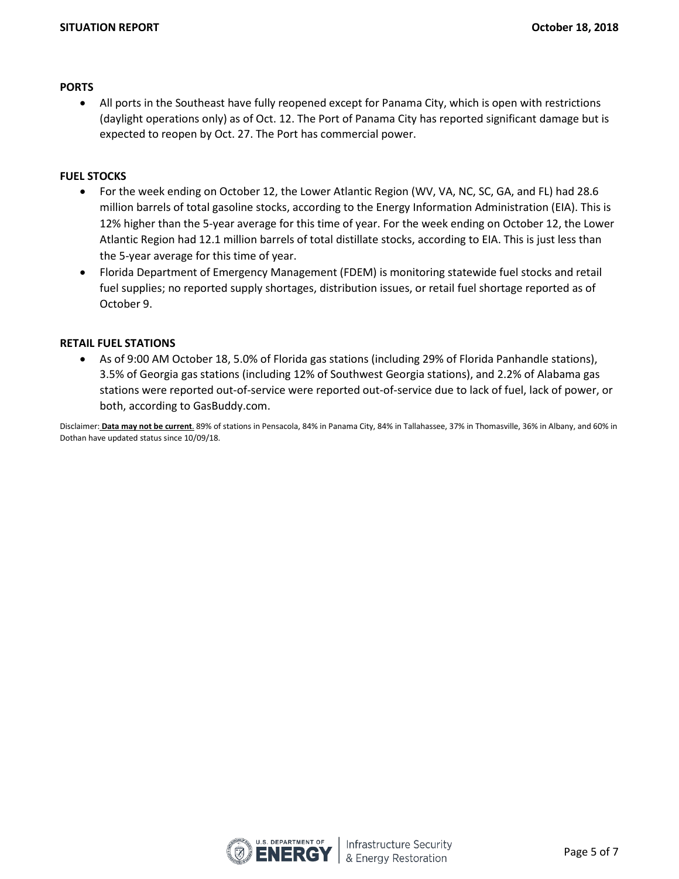#### **PORTS**

• All ports in the Southeast have fully reopened except for Panama City, which is open with restrictions (daylight operations only) as of Oct. 12. The Port of Panama City has reported significant damage but is expected to reopen by Oct. 27. The Port has commercial power.

## **FUEL STOCKS**

- For the week ending on October 12, the Lower Atlantic Region (WV, VA, NC, SC, GA, and FL) had 28.6 million barrels of total gasoline stocks, according to the Energy Information Administration (EIA). This is 12% higher than the 5-year average for this time of year. For the week ending on October 12, the Lower Atlantic Region had 12.1 million barrels of total distillate stocks, according to EIA. This is just less than the 5-year average for this time of year.
- Florida Department of Emergency Management (FDEM) is monitoring statewide fuel stocks and retail fuel supplies; no reported supply shortages, distribution issues, or retail fuel shortage reported as of October 9.

#### **RETAIL FUEL STATIONS**

• As of 9:00 AM October 18, 5.0% of Florida gas stations (including 29% of Florida Panhandle stations), 3.5% of Georgia gas stations (including 12% of Southwest Georgia stations), and 2.2% of Alabama gas stations were reported out-of-service were reported out-of-service due to lack of fuel, lack of power, or both, according to GasBuddy.com.

Disclaimer: **Data may not be current**. 89% of stations in Pensacola, 84% in Panama City, 84% in Tallahassee, 37% in Thomasville, 36% in Albany, and 60% in Dothan have updated status since 10/09/18.

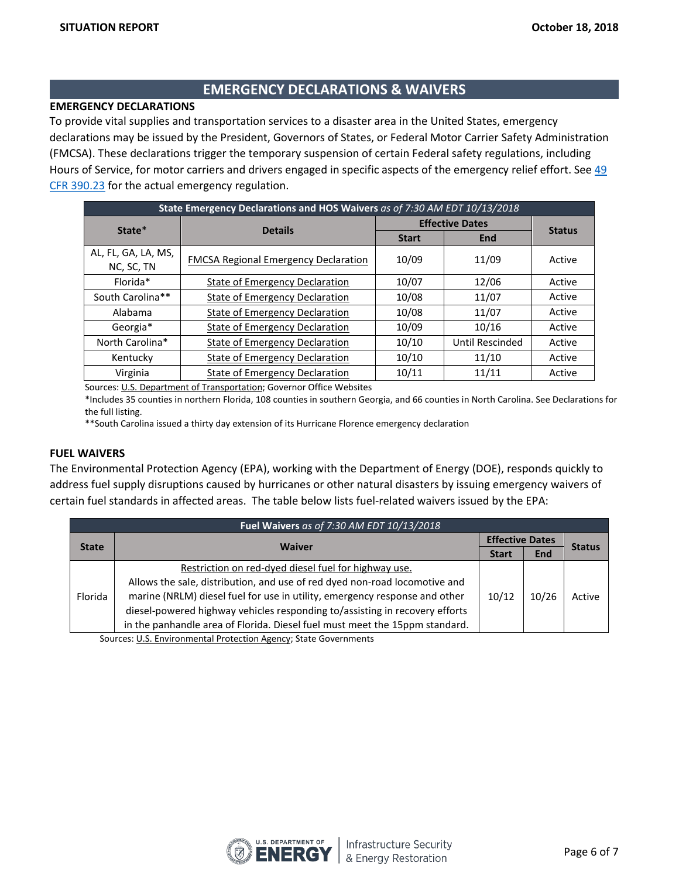## **EMERGENCY DECLARATIONS & WAIVERS**

## **EMERGENCY DECLARATIONS**

To provide vital supplies and transportation services to a disaster area in the United States, emergency declarations may be issued by the President, Governors of States, or Federal Motor Carrier Safety Administration (FMCSA). These declarations trigger the temporary suspension of certain Federal safety regulations, including Hours of Service, for motor carriers and drivers engaged in specific aspects of the emergency relief effort. See [49](https://www.fmcsa.dot.gov/regulations/title49/section/390.23)  [CFR 390.23](https://www.fmcsa.dot.gov/regulations/title49/section/390.23) for the actual emergency regulation.

| State Emergency Declarations and HOS Waivers as of 7:30 AM EDT 10/13/2018 |                                             |                        |                 |               |
|---------------------------------------------------------------------------|---------------------------------------------|------------------------|-----------------|---------------|
| State*                                                                    | <b>Details</b>                              | <b>Effective Dates</b> |                 |               |
|                                                                           |                                             | <b>Start</b>           | <b>End</b>      | <b>Status</b> |
| AL, FL, GA, LA, MS,<br>NC, SC, TN                                         | <b>FMCSA Regional Emergency Declaration</b> | 10/09                  | 11/09           | Active        |
| Florida*                                                                  | State of Emergency Declaration              | 10/07                  | 12/06           | Active        |
| South Carolina**                                                          | <b>State of Emergency Declaration</b>       | 10/08                  | 11/07           | Active        |
| Alabama                                                                   | <b>State of Emergency Declaration</b>       | 10/08                  | 11/07           | Active        |
| Georgia*                                                                  | <b>State of Emergency Declaration</b>       | 10/09                  | 10/16           | Active        |
| North Carolina*                                                           | <b>State of Emergency Declaration</b>       | 10/10                  | Until Rescinded | Active        |
| Kentucky                                                                  | State of Emergency Declaration              | 10/10                  | 11/10           | Active        |
| Virginia                                                                  | <b>State of Emergency Declaration</b>       | 10/11                  | 11/11           | Active        |

Sources[: U.S. Department of Transportation;](http://www.fmcsa.dot.gov/emergency) Governor Office Websites

\*Includes 35 counties in northern Florida, 108 counties in southern Georgia, and 66 counties in North Carolina. See Declarations for the full listing.

\*\*South Carolina issued a thirty day extension of its Hurricane Florence emergency declaration

#### **FUEL WAIVERS**

The Environmental Protection Agency (EPA), working with the Department of Energy (DOE), responds quickly to address fuel supply disruptions caused by hurricanes or other natural disasters by issuing emergency waivers of certain fuel standards in affected areas. The table below lists fuel-related waivers issued by the EPA:

| Fuel Waivers as of 7:30 AM EDT 10/13/2018 |                                                                             |       |                        |               |
|-------------------------------------------|-----------------------------------------------------------------------------|-------|------------------------|---------------|
|                                           | <b>Waiver</b>                                                               |       | <b>Effective Dates</b> |               |
| <b>State</b>                              |                                                                             |       | <b>End</b>             | <b>Status</b> |
| Florida                                   | Restriction on red-dyed diesel fuel for highway use.                        |       | 10/26                  | Active        |
|                                           | Allows the sale, distribution, and use of red dyed non-road locomotive and  |       |                        |               |
|                                           | marine (NRLM) diesel fuel for use in utility, emergency response and other  | 10/12 |                        |               |
|                                           | diesel-powered highway vehicles responding to/assisting in recovery efforts |       |                        |               |
|                                           | in the panhandle area of Florida. Diesel fuel must meet the 15ppm standard. |       |                        |               |

Sources: [U.S. Environmental Protection Agency;](https://www.epa.gov/enforcement/fuel-waivers) State Governments